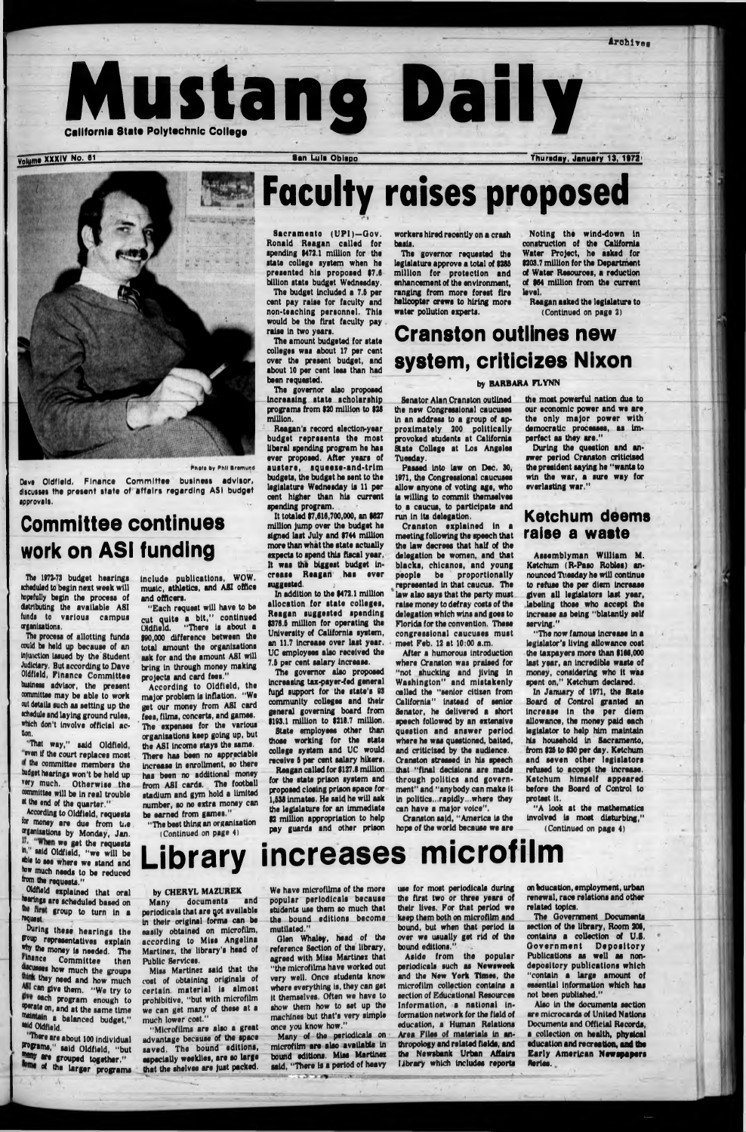Mustang Daily

Volume XXXIV No. 61 **San Lula Obispo** Thursday, January 13, 1972



# **Faculty raises proposed**

Sacramento (UPI)-Gov. Ronald Reagan called (or spending \$472.1 million for the state college system when he presented his proposed \$7.6 billion state budget Wednesday.

Reagan's record election-year budget represents the most liberal spending program he has ever proposed. After years of austere, squeeze-and-trim budgets, the budget he sent to the legislature Wednesday is 11 per cent higher than his current spending program.

The budget Included a 7.6 per cent pay raise for faculty and non-teaching personnel. This would be the first faculty pay raise In two years.

The amount budgeted for state colleges was about 17 per cent over the present budget, and about 10 per cent less than had been requested.

In addition to the \$472.1 million allocation for state colleges, Reagan suggested spending \$376.6 million for operating the University of California system, an 11.7 increase over last year. UC employees also received the 7.5 per cent salary increase.

The governor also proposed Increasing stata scholarship programs from \$20 million to \$28 million.

Dave Oldfield, Finance Committee business advisor, discusses the present state of affairs regarding ASI budget approvals.

Ths 1972-73 budget hearings scheduled to begin next week will hopefully begin the process of distributing the available ASI fundi to various campus organizations.

It totaled \$7,616,700,000, an \$827 million ]ump over the budget he signed last July and \$744 million more than what the state actually expects to spend this fiscal year. It was the biggest budget Increase Reagan has evar suggested. *j*

The process of allotting funds could be held up because of an injunction issued by the Student Judiciary. But according to Dave Oldfield, Finance Committee buainesa advisor, the present committee may be able to work out details such as setting up the •chedule and laying ground rules, which don't involve official action.

the committee members the tudget hearings won't be held up very much. Otherwise the committee will be In real trouble at the end of the quarter."

According to Oldfield, requests for money are due from the »|anliatlons by Monday, Jan. 17. "When we get the requests in," said Oldfield, "we will be able to see where we stand and how much needs to be reduced from the requests."

The governor also proposed Increasing tax-payer-fed general fugd support for the state's 03 community colleges and their general governing board from \$103.1 million to \$218.7 million.

During these hearings the soup representatives explain why the money is needed. The Pinance Committee then dicuses how much the groups think they need and how much ASI can give them. "We try to give each program enough to werate on, and at the same time maintain a balanced budget," mid Oldfield.

State employees other than those working for the state college system and UC would receive 6 per cent salary hikers.

Reagan called for \$127.8 million for the state prison system and proposed closing prison space for 1,538 inmates. He said he will ask the legislature for an Immediate \$2 million appropriation to help pay guards and other prison

Photo by Phil Bromuod

# Committee continues work on ASI funding

•That way," said Oldfield, even if the court replaces most

Oldfield explained that oral herings are scheduled based on the first group to turn in a '•quest.

Cranston said, "America is the hope of the world because we are

"The now famous Increase In a legislator's living allowance cost the taxpayers more than \$166,000 last year, an Incredible waste of money, considering who It was spent on." Ketchum declared.

In January of 1971, the State Board of Control granted an Increase in the per diem allowance, the money paid each legislator to help him maintain his household In Sacramento, from \$26 to \$30 per day. Ketchum and seven other legislator

There are about 100 Individual grograms," said Oldfield, "but \* • grouped together," *01* the larger programs

Include publications, WOW. music, athletics, and ASI office and officers.

"Each request will have to be cut quite a bit," continued Oldfield. "There Is about a \$90,000 difference between the total amount the organizations ask for and the amount ASI will bring In through money making projects and card fees."

According to Oldfield, the major problem Is Inflation, "We get our money from ASI card fees, films, concerts, and games. The expenses for the various organisations keep going up, but the ASI income stays the same. There has been no appreciable Increase In enrollment, so there has been no additional money from ASI cards. The football stadium and gym hold a limited number, so no extra money can be earned from games."

> Many of the periodicals on microfilm are also available In bound editions. Miss Martinez said, "There is a period of heavy

> > the college and continued to the college

"The best thing an organization (Continued on page 4)

> Aside from the popular periodicals such as Newsweek and the New York Times, the microfilm collection contains a section of Educational Resources Information, a national Information network for the field of education, a Human Relations Area Files of materials In anthropology and related fields, and the Newsbank Urban Affairs library which includes reports

workers hired recently on a crash basis.

The governor requested the legislature approve a total of \$286 million for protection and enhancement of the environment, ranging from more forest fire helicopter crews to hiring more water pollution experts.

Noting the wind-down in construction of the California Water Project, he asked for \$203.7 million for the Department of Water Resources, a reduction of \$64 million from the current level.

The Government Documents section of the library, Room 206, contains a collection of U.8. Government Depository Publications as well as nondepository publications which "contain a large amount of essential information which has not been published."

Also in the documents section are microcards of United Nations Documents and Official Records, a collection on health, **physical** education and **recreation, and the Early American Newspapers Merles.**

Reagan asked the legislature to (Continued on page 2)

# Cranston outlines new system, criticizes Nixon

#### by BARBARA FLYNN

Senator Alan Cranston outlined the new Congressional caucuses In an address to a group of approximately 200 politically provoked students at California State College at Los Angelas Tuesday.

Passed Into law on Dec. 30, 1971, the Congressional caucuses allow anyone of voting age, who la willing to commit themselves to a caucus, to participate and run In its delegation.

Cranston explained In a meeting following the speech that the law decrees that half of the delegation be women, and that blacks, chlcanos, and young people be proportionally represented in that caucus. The law also says that the party must raise money to defray costs of the delegation which wins and goes to Florida for the convention. These congressional caucuses must meet Feb. 12 at 10:00 a.m.

After a humorous introduction where Cranston was praised for "not shucking and jiving In Washington" and mistakenly called the "senior citizen from California" Instead of senior Senator, he delivered a short speech followed by an extensive question and answer period where he was quastloned, baited, and criticized by the audience. Cranston stressed In his speech

that "final decisions are made through politics and government" and "anybody can make it In politics...rapidly...where they can have a major voice".

the moat powerful nation due to our economic power and we are the only major power with democratic processea, as Imperfect as they are."

 $|-1$ 

During the question and answer period Cranston criticised the president saying he "wants to win the war, a sure way for everlasting war."

#### **Ketchum deems** raise a waste

Assemblyman William M. Ketchum (R-Paao Robles) announced Tuesday ha will continue to refuse the per diem Increase given all legislators last year, labeling those who accept the Increase as being "blatantly self serving."

refused to accept the Increase. Ketchum himself appeared before the Board of Control to

protest it.

"A look at the mathematics Involved la most disturbing," (Continued on page 4)

# Library increases microfilm

by CHERYL MAZUREK Many documents and periodicals that are qot available in their original forms can be easily obtained on microfilm, according to Miss Angelina Martinez, the library's head of Public Services.

Mlsa Martinez said that the cost of obtaining originals of certain material is almost prohibitive, "but with microfilm we can get many of these at a much lower cost."

"Microfilms are also a great advantage because of the space saved. The bound editions, especially weeklies, are so large that the shelves are Just packed.

We have microfilms of the more popular periodicals because students use them so much that the bound editions become mutilated."

Glen Whaley, head of the reference Section of the library, agreed with Miss Martinez that "the microfilms have worked out very well. Once students know where everything is, they can get It themselves. Often we have to show them how to set up the machines but that's very simple once you know how,"

use for most periodicals during the first two or three years of their lives. For that period we keep them both on microfilm and bound, but when that period la over we usually get rid of the bound editions."

on Education, employment, urban renewal, race relations and other related topics.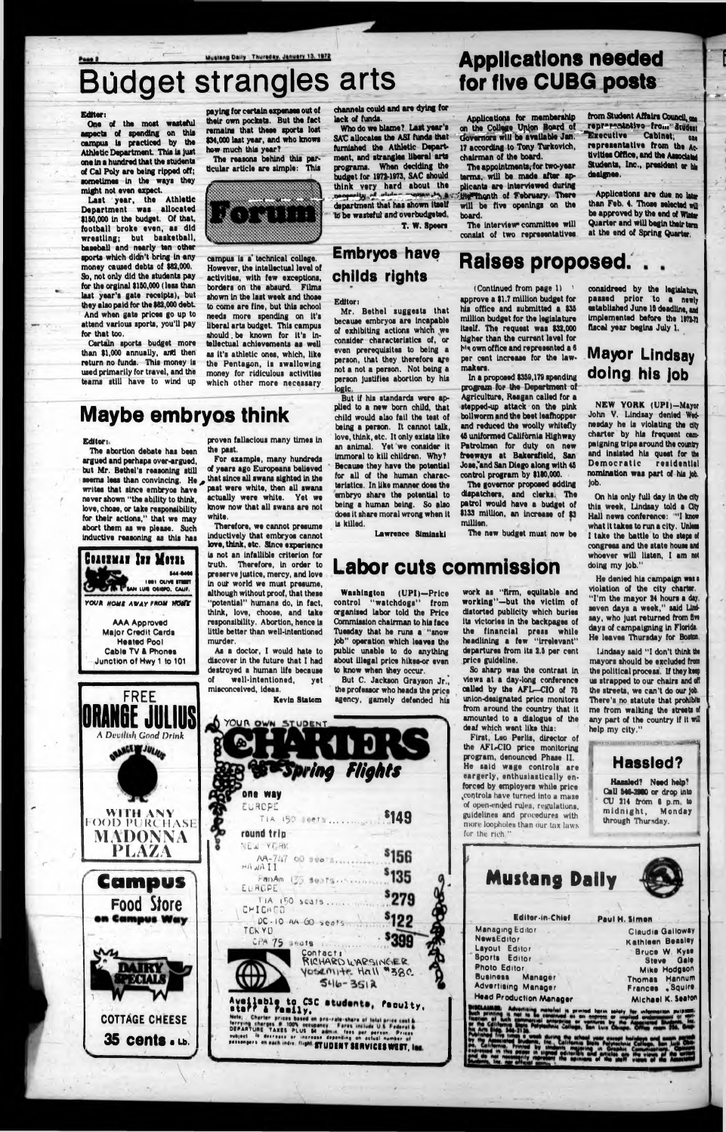#### Mustang Daily Thursday, January 13, 1972

# **Bddget strangles arts**

# Applications needed for five CUBG posts

#### Editor:

One of the most wasteful aspects of spending on this campus is practiced by the Athletic Department. This is just one In a hundred that the students of Cal Poly are being ripped off; sometimes in the ways they might not even expect.

Last year, the Athletic Department was allocated \$150,000 In the budget. Of that, football broke even, as did wrestling; but basketball, baseball and nearly ten other sports which didn't bring in any money caused debts of \$82,000. So, not only did the students pay for the orginal \$150,000 (less than last year's gate receipts), but they also paid for the \$82,000 debt. And when gate prices go up to attend various sports, you'll pay for that too.

Certain sports budget more than \$1,000 annually, and then return no funds. This money is used primarily for travel, and the teams still have to wind up

campus is a\* technical college. However, the Intellectual level of activities, with few exceptions, borders on the absurd. Films shown in the last week and those to come are fine, but this school needs more spending on it's liberal arts budget. This campus should.be known for it's Intellectual achievements as well as It's athletic ones, which, like the Pentagon, is swallowing money for ridiculous activities which other more necessary



The abortion debate has been argued and perhaps over-argued, but Mr. Bethel's reasoning still seems leas than convincing. He *\** writes that since embryos have never shown "the ability to think, love, choae, or take responsibility for their actions," that we may abort them as we please. Such inductive reasoning as this has

The reasons behind this particular article are simple: This



channels could and are dying for lack of funds.

Applications for membership on the College UjiJon Board of Governors will be available Jan. 17 according to Tony Turkovich, chairman of the board.

## Maybe embryos think

#### Editor:

The interview committee will consist of two representatives

from Student Affairs Council, om representativo fro... Student **Executive Cabinet; one** representative from the Activities Office, and the Associate Students, Inc., president or his dealeries.

Applications are due no late than Feb. 4. Those selected will be approved by the end of Winter Quarter and will begin their term at the end of Spring Quarter.

Who do we blame? Last year's SAC allocates the ASI funds that furnished the Athletic Department, and strangles liberal arts programs. When deciding the budget for 1972-1973, SAC should think very hard about the necessity of sixter comes by a signal month of February. There to be wasteful and overbudgeted T. W. Speers

> (Continued from page 1) approve a \$1.7 million budget for his office and submitted a \$35 million budget for the legislature itself. The request was \$32,000 higher than the current level for hte own office and represented a 8 per cent Increase for the law-



AAA Approved Major Credit Cards Heated Pool Cable TV & Phones Junction of Hwy 1 to 101 proven fallacious many times In the past.

For example, many hundreds of years ago Europeans believed that since all swans sighted in the past were white, then all swans actually were white. Yet we know now that all swans are not white.

The appointments; for two-year terms, will be made after applicants are interviewed during will be five openings on the board.

Therefore, we cannot presume inductively that embryos cannot love, think, etc. Since experience is not an infallible criterion for truth. Therefore, in order to preserve justice, mercy, and love in out world we must presume, although without proof, that these "potential" humans do, in fact, think, love, choose, and take responsibility. Abortion, hence is little better than well-intentioned murder.

As a doctor, I would hate to discover in the future that I had destroyed a human life because of well-intentioned, yet misconceived, ideas.

Kevin Statom

## Em bryos have childs rights

Editor:

Mr. Bethel suggests that because embryos are incapable of exhibiting actions whicn we consider characteristics of, or even prerequisites to being a person, that they therefore are not a not a person. Not being a person Justifies abortion by his logic.

considreed by the legislature, passed prior to a newly established June IS deadline, and implemented before the 1972-73 fiscal year begins July 1.

### **Mayor Lindsay** doing his Job

But If his standards were applied to a new born child, that child would also fail the test of being a person. It cannot talk, love, think, etc. It only exists like an animal. Yet we consider it immoral to kill children. Why? Because they have the potential for all of the human characteristics. In like manner does the embryo share the potential to being a human being. So also does it share moral wrong when it is killed.

On his only full day in the dty this week, Lindsay told a City Hall news conference: "1 know what it takes to run a city. Unless I take the battle to the steps ot congress and the stats house and whoever will listen, I am not doing my Job."

He denied his campaign was a violation of the city charter. "I'm the mayor 24 hours a day, seven days a week," said Lindsay, who just returned from five days of campaigning in Florida. He leaves Thursday for Boston

Lawrence Simlnski



Raises proposed.

makers.

In a proposed \$359,179 spending program for the Department of Agriculture, Reagan called for a stepped-up attack on the pink bollworm and the beet leafhopper and reduced the Woolly whitefly 46 uniformed California Highway Patrolmen for duty on new freeways at Bakersfield, San Jose,"and San Diego along with 45 control program by \$180,000. The governor proposed adding dispatchers, and clerks. The patrol would have a budget of \$133 million, an increase of \$3

million.

## Labor cuts commission

Washington (UPI)—Price control "watchdogs" from organised labor told the Price Commission chairman to his face Tuesday that he runs a "snow Job" operation which leaves the public unable to do anything about illegal price hikes-or even to know when they occur.

But C. Jackson Grayson Jr.', the professor who heads the price agency, gamely defended his



work as "firm, equitable and working"—but the victim of distorted publicity which buries its victories In the backpages of the financial press while headlining a few "Irrelevant" departures from its 2.5 per cent

The new budget must now be

| one way<br>EUROPE                   |                     |                    |                                                                    |  |
|-------------------------------------|---------------------|--------------------|--------------------------------------------------------------------|--|
|                                     | TIA 150 scens       |                    | \$149                                                              |  |
| round trip                          |                     |                    |                                                                    |  |
| <b>NEW YORK</b>                     |                     |                    |                                                                    |  |
| HANAI                               | $AA - 7.17.00$ 300  |                    | <sup>\$</sup> 156                                                  |  |
|                                     | FanAm 135 Seats.    |                    | '135                                                               |  |
| EURDPE I                            | TIA 150 scals       |                    | °279                                                               |  |
| CHICADO                             |                     |                    |                                                                    |  |
| TCK YD                              | DC-10 AA GO seats   |                    |                                                                    |  |
|                                     | CPA 75 Seats 1.1.1. |                    |                                                                    |  |
|                                     | Contact:            | RICHARD WARSINGER  |                                                                    |  |
|                                     |                     | yosemite Hall "38C |                                                                    |  |
|                                     |                     | $546 - 3512$       |                                                                    |  |
| Aveilable to CSC students, faculty, |                     |                    |                                                                    |  |
| <b>LATT</b>                         | family.             |                    | Note; Charter prices based on pro-rate-share of total price cost & |  |

So sharp was the contrast In views at a day-long conference called by the AFL-CIO of 75 union-designated price monitors from around the country that it amounted to a dialogue of the deaf which went like this: First, Leo Perils, director of the AFL-CIO price monitoring program, denounced Phase II. He said wage controls are eargerly, enthusiastically enforced by employers while price ^controls have turned Into a mase of open-ended rules, regulations, guidelines and procedures with more loopholes than our tax laws for the rich," Mustang Daily Editor-In-Chief Managing Editor NewsEditor Layout Editor Sports Editor Photo Editor Business Manager Advertising Manager Head Production Manager Paul H. Simon •r mm help my city." ----------------------------:------------------T----------------------------

price guideline. Claudia Galloway Kathleen Beasley Bruce W Kyse Steve Gale Mike Hodgson Thomas Hannum Frances .Squirs Michael K. Seaton let mind flat in sololy far information pulpital!<br>" Of concern or implied proprietary w with Lindsay said "I don't think the mayors should be excluded from the political process. If they keep us strapped to our chairs and oft the streets, we can't do our job. There's no statute that prohibits me from walking the streets of any part of the country if it will **WMMnmiRMlWIIUMItt: .IHlIHIIHIIIIIIIIIIHIMHimnMHUUIMiaSaHISSSMj** Hassled? Hassled? Need help? Call 546-2980 or drop into ' CU 214 from 8 p.m to midnight, Monday through Thursday.



NEW YORK (DPI)—Mayor John V. Lindsay denied Wednesday he la violating the dty charter by his frequent campaigning trips around the country and lnaiatad his quest for the Democratic residential nomination was part of his Job. Job.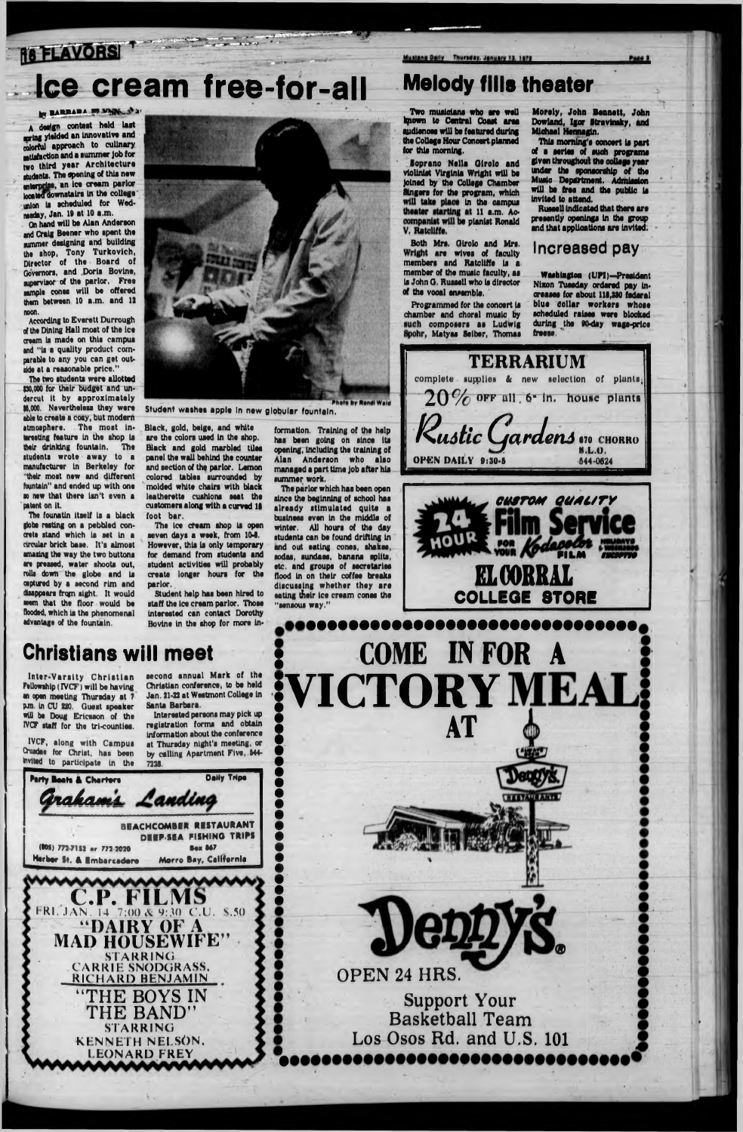# **16 FLAVORSI**

# Ice cream free-for-all Melody fills theater

#### **N BARBARA BE VAIN SEN**

A design contest held last rnring yielded an Innovative and colorful approach to culinary satisfaction and a summer job for two third year Architecture students. The opening of this new mterprlso. an Ice cream parlor located downstairs in the college wilon is scheduled for Wedmsday, Jan. 19 at 10 a.m.

The two students were allotted (30,000 for their budget and undercut it by approximately |S,000. Nevertheless they were able to create a cosy, but modern atmosphere. The moat interesting feature In the shop Is their drinking fountain. The students wrote away to a manufacturer In Berkeley for "their most new and different fountain" and ended up with one ao now that there isn't even a patent on it.

On hand will be Alan Anderson and Craig Beener who spent the summer designing and building the shop, Tony Turkovich, Director of the Board of Governors, and Doris Bovine, amervisor of the parlor. Free aample cones will be offered them between 10 a.m. and 12 noon.

According to Everett Durrough of the Dining Hall most of the ice cream Is made on this campus and "la a quality product comparable to any you can get outside at a reasonable price."

The founatin itself is a black (lobe resting on a pebbled concrete stand which is set In a circular brick base. It's almost amazing the way the two buttons are pressed, water shoots out, rolls down the globe and Is captured by a second rim and disappears from sight. It would seem that the floor would be flooded, which is the phenomenal advantage of the fountain.



 $\frac{1}{2}$   $\frac{1}{2}$   $\frac{1}{2}$   $\frac{1}{2}$   $\frac{1}{2}$   $\frac{1}{2}$   $\frac{1}{2}$ 

**Soprano Nells Oirolo and violinist Virginia Wright will be joined by the College Chamber Singers for the program, which** will take place in the campus theater starting at 11 a.m. Accompanist will be pianist Ronald V. Ratcliffe.

The ice cream shop is open seven days a week, from 10-8. However, this is only temporary for demand from students and student activities will probably create longer hours for the parlor.

Student help has been hired to staff the ice cream parlor. Those Interested can contact Dorothy Bovine in the shop for more in-

**Two musicians who are well kpown to Central Coast area audiences will be featured during the College Hour Concert planned for this morning.**

Inter-Varsity Christian Fellowship (IVCF) will be having an open meeting Thursday at 7 pm. In CU 220. Guest speaker rill be Doug Ericsson of the IVCF staff for the trl-countlee.

**Both Mrs. Oirolo and Mrs. are wives of faculty members and Ratcliffs is a member of the music faculty, as Is John O. Russell who is director the vocal ensemble.**

formation. Training of the help has been going on since Its opening, Including the training of Alan Anderson who also managed a part time job after his summer work.

**Programmed for the concert is chamber and choral music by composers as Ludwig Matyas Seiber, Thomas** **Morely, John Bennett, John Dowland, Igor Stravinsky, and Michael Hemagln.**

**This morning's oonoert is part of a series of such programs given throughout the oollegs year under the sponsorship of the Music Department. Admission will be free and the public is invited to attend.**

**Russell indicated that there are presently openings in the group and that applications are invited.**

#### **Increased pay**

 $\overline{\mathbf{c}}$ **OPEN 24 HRS. Support Your Basketball Team Los Osos Rd. and U.S. 101**

**Washington** (DPI)**-President Nixon Tuesday ordered pay increases for about 118,230 federal blue dollar workers whose scheduled raises were blocked during the 90-day wage-price freese. '**

Student washes apple In new globular fountain.

Black, gold, beige, and white are the colors used In the shop. Black and gold marbled tiles panel the wall behind (he counter and section of the parlor. Lemon colored tables surrounded by molded white chairs with black leatherette cushions seat the customers along with a curved 16 foot bar.

## Christians will meet

IVCF, along with Campus Oosdae for Christ, has been second annual Mark of the Christian conference, to be held Jan. 21-22 at Westmont College In Santa Barbara.

Interested persons may pick up registration forma and obtain information about the conference at Thursday night's meeting, or by calling Apartment Five, 644-



The parlor which has been open since the beginning of school has already stim ulated quite a business even In the middle of winter. All hours of the day students can be found drifting In and out eating cones, shakes, sodas, sundaes, banana splits, etc. and groups of secretaries flood in on their coffee breaks discussing whether they are eating their Ice cream cones the "sensous way."

Mustang Daily Thursday, January 13, 1972







C